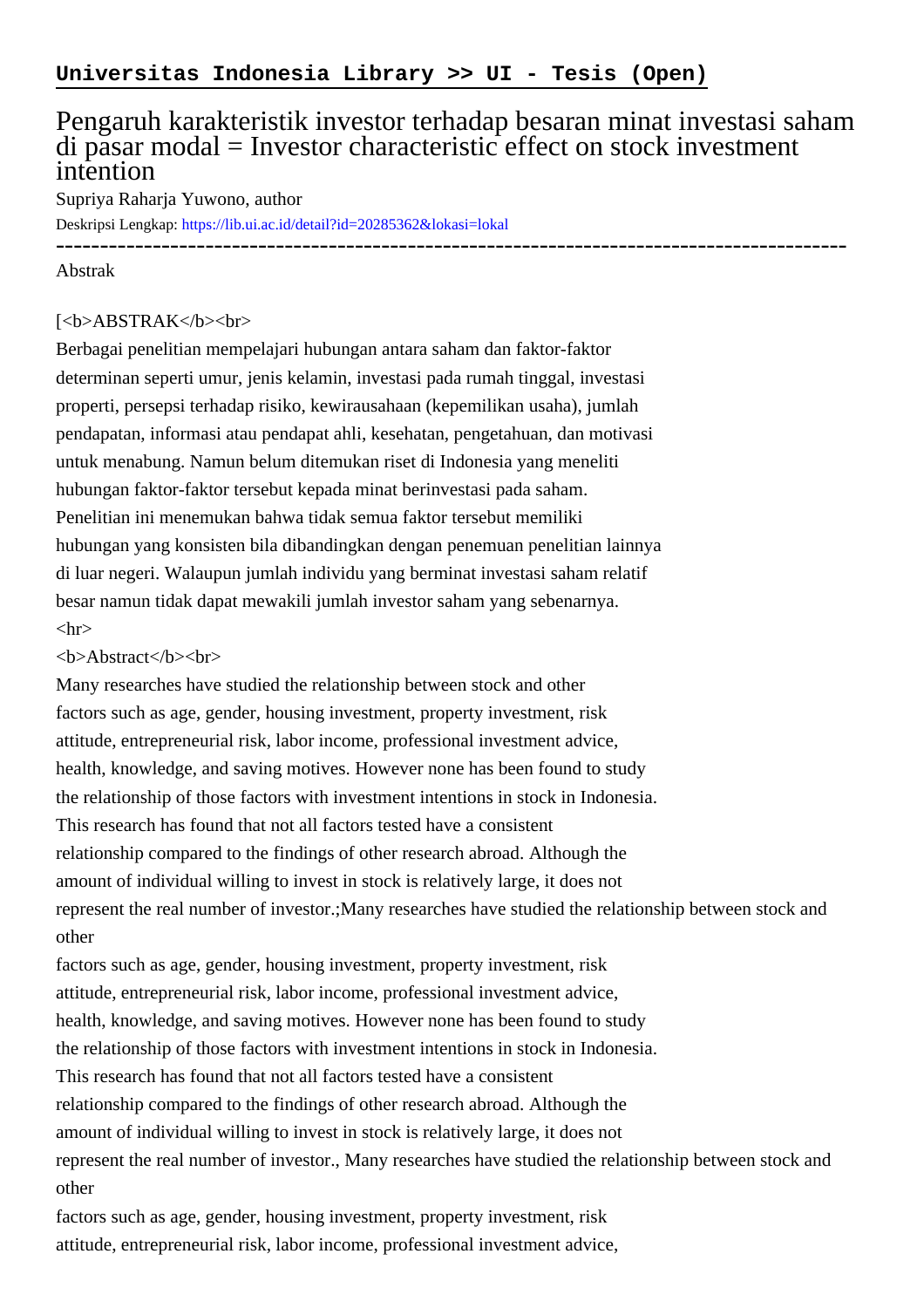## Pengaruh karakteristik investor terhadap besaran minat investasi saham di pasar modal = Investor characteristic effect on stock investment intention

Supriya Raharja Yuwono, author

Deskripsi Lengkap:<https://lib.ui.ac.id/detail?id=20285362&lokasi=lokal>

------------------------------------------------------------------------------------------

## Abstrak

## [<b>ABSTRAK</b><br/>shr>

Berbagai penelitian mempelajari hubungan antara saham dan faktor-faktor determinan seperti umur, jenis kelamin, investasi pada rumah tinggal, investasi properti, persepsi terhadap risiko, kewirausahaan (kepemilikan usaha), jumlah pendapatan, informasi atau pendapat ahli, kesehatan, pengetahuan, dan motivasi untuk menabung. Namun belum ditemukan riset di Indonesia yang meneliti hubungan faktor-faktor tersebut kepada minat berinvestasi pada saham. Penelitian ini menemukan bahwa tidak semua faktor tersebut memiliki hubungan yang konsisten bila dibandingkan dengan penemuan penelitian lainnya di luar negeri. Walaupun jumlah individu yang berminat investasi saham relatif besar namun tidak dapat mewakili jumlah investor saham yang sebenarnya.  $\langle$ hr $>$ 

## <b>Abstract</b><br>

Many researches have studied the relationship between stock and other factors such as age, gender, housing investment, property investment, risk attitude, entrepreneurial risk, labor income, professional investment advice, health, knowledge, and saving motives. However none has been found to study the relationship of those factors with investment intentions in stock in Indonesia. This research has found that not all factors tested have a consistent relationship compared to the findings of other research abroad. Although the amount of individual willing to invest in stock is relatively large, it does not represent the real number of investor.;Many researches have studied the relationship between stock and other

factors such as age, gender, housing investment, property investment, risk attitude, entrepreneurial risk, labor income, professional investment advice, health, knowledge, and saving motives. However none has been found to study the relationship of those factors with investment intentions in stock in Indonesia. This research has found that not all factors tested have a consistent relationship compared to the findings of other research abroad. Although the amount of individual willing to invest in stock is relatively large, it does not represent the real number of investor., Many researches have studied the relationship between stock and other

factors such as age, gender, housing investment, property investment, risk attitude, entrepreneurial risk, labor income, professional investment advice,